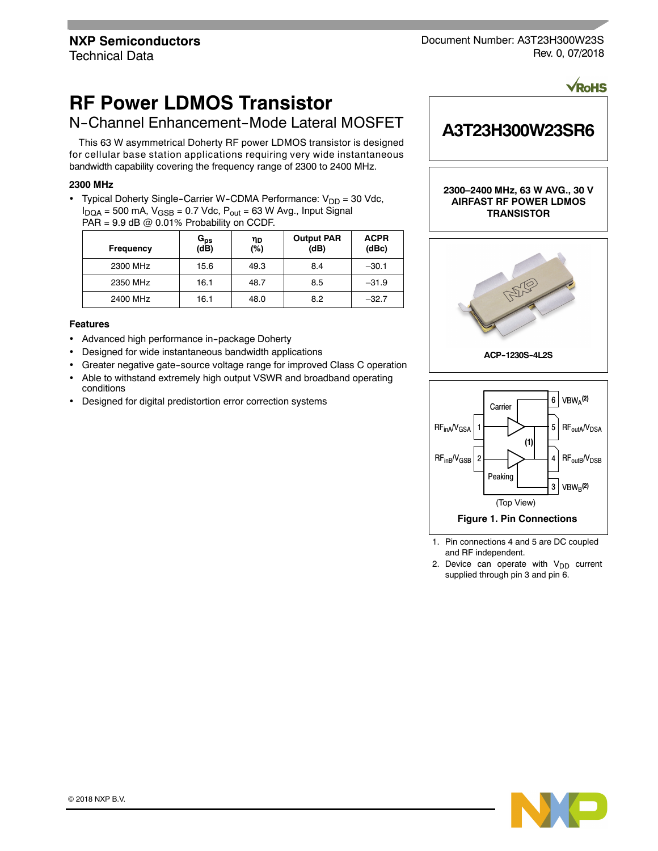Document Number: A3T23H300W23S Rev. 0, 07/2018

# **RF Power LDMOS Transistor**

# N-Channel Enhancement-Mode Lateral MOSFET

This 63 W asymmetrical Doherty RF power LDMOS transistor is designed for cellular base station applications requiring very wide instantaneous bandwidth capability covering the frequency range of 2300 to 2400 MHz.

# **2300 MHz**

• Typical Doherty Single-Carrier W-CDMA Performance:  $V_{DD} = 30$  Vdc,  $I_{DQA}$  = 500 mA,  $V_{GSB}$  = 0.7 Vdc,  $P_{out}$  = 63 W Avg., Input Signal PAR =  $9.9$  dB @ 0.01% Probability on CCDF.

| Frequency | $\mathtt{G_{ps}}$<br>$(d\bar{B})$ | ηD<br>(%) | <b>Output PAR</b><br>(dB) | <b>ACPR</b><br>(dBc) |
|-----------|-----------------------------------|-----------|---------------------------|----------------------|
| 2300 MHz  | 15.6                              | 49.3      | 8.4                       | $-30.1$              |
| 2350 MHz  | 16.1                              | 48.7      | 8.5                       | $-31.9$              |
| 2400 MHz  | 16.1                              | 48.0      | 8.2                       | $-32.7$              |

# **Features**

- Advanced high performance in-package Doherty
- Designed for wide instantaneous bandwidth applications
- Greater negative gate-source voltage range for improved Class C operation
- Able to withstand extremely high output VSWR and broadband operating conditions
- Designed for digital predistortion error correction systems



**VRoHS** 

**2300–2400 MHz, 63 W AVG., 30 V AIRFAST RF POWER LDMOS TRANSISTOR**





1. Pin connections 4 and 5 are DC coupled and RF independent.

2. Device can operate with  $V_{DD}$  current supplied through pin 3 and pin 6.

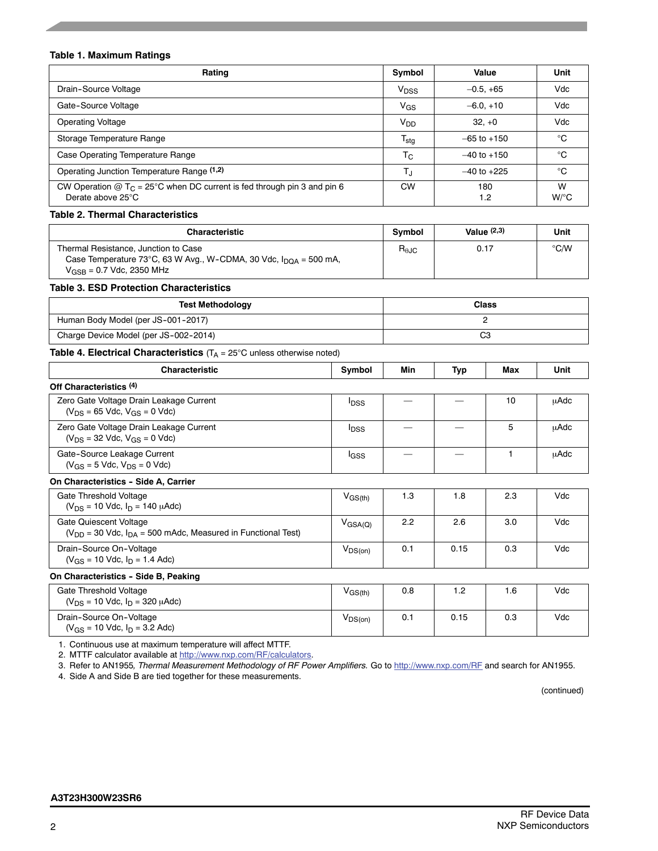# **Table 1. Maximum Ratings**

| Rating                                                                                                     | Symbol           | Value           | Unit                    |
|------------------------------------------------------------------------------------------------------------|------------------|-----------------|-------------------------|
| Drain-Source Voltage                                                                                       | V <sub>DSS</sub> | $-0.5, +65$     | Vdc                     |
| Gate-Source Voltage                                                                                        | V <sub>GS</sub>  | $-6.0.+10$      | Vdc                     |
| <b>Operating Voltage</b>                                                                                   | V <sub>DD</sub>  | $32. +0$        | Vdc                     |
| Storage Temperature Range                                                                                  | $T_{\text{stg}}$ | $-65$ to $+150$ | °C                      |
| Case Operating Temperature Range                                                                           | $T_{C}$          | $-40$ to $+150$ | °C                      |
| Operating Junction Temperature Range (1,2)                                                                 | Т.,              | $-40$ to $+225$ | $^{\circ}$ C            |
| CW Operation $@$ T <sub>C</sub> = 25°C when DC current is fed through pin 3 and pin 6<br>Derate above 25°C | <b>CW</b>        | 180<br>1.2      | W<br>$W$ <sup>o</sup> C |

#### **Table 2. Thermal Characteristics**

| <b>Characteristic</b>                                                                                                                                              | Symbol                 | Value $(2,3)$ | Unit           |
|--------------------------------------------------------------------------------------------------------------------------------------------------------------------|------------------------|---------------|----------------|
| Thermal Resistance, Junction to Case<br>Case Temperature 73°C, 63 W Avg., W-CDMA, 30 Vdc, $I_{\text{DOA}} = 500 \text{ mA}$ ,<br>$V_{\rm GSB}$ = 0.7 Vdc, 2350 MHz | $R_{\theta \text{JC}}$ | 0.17          | $^{\circ}$ C/W |

#### **Table 3. ESD Protection Characteristics**

| <b>Test Methodology</b>               | <b>Class</b> |
|---------------------------------------|--------------|
| Human Body Model (per JS-001-2017)    |              |
| Charge Device Model (per JS-002-2014) | r<br>vc      |

# **Table 4. Electrical Characteristics** (T<sub>A</sub> = 25°C unless otherwise noted)

| <b>Characteristic</b>                                                                           | Symbol              | Min | Typ  | Max | Unit        |
|-------------------------------------------------------------------------------------------------|---------------------|-----|------|-----|-------------|
| Off Characteristics (4)                                                                         |                     |     |      |     |             |
| Zero Gate Voltage Drain Leakage Current<br>$(V_{DS} = 65$ Vdc, $V_{GS} = 0$ Vdc)                | <sup>I</sup> DSS    |     |      | 10  | uAdc        |
| Zero Gate Voltage Drain Leakage Current<br>$(V_{DS} = 32$ Vdc, $V_{GS} = 0$ Vdc)                | <sup>I</sup> DSS    |     |      | 5   | <b>µAdc</b> |
| Gate-Source Leakage Current<br>$(V_{GS} = 5$ Vdc, $V_{DS} = 0$ Vdc)                             | <b>I</b> GSS        |     |      | 1   | μAdc        |
| On Characteristics - Side A, Carrier                                                            |                     |     |      |     |             |
| Gate Threshold Voltage<br>$(V_{DS} = 10$ Vdc, $I_D = 140$ $\mu$ Adc)                            | $V_{GS(th)}$        | 1.3 | 1.8  | 2.3 | Vdc         |
| Gate Quiescent Voltage<br>$(V_{DD} = 30$ Vdc, $I_{DA} = 500$ mAdc, Measured in Functional Test) | $V_{\text{GSA}(Q)}$ | 2.2 | 2.6  | 3.0 | Vdc         |
| Drain-Source On-Voltage<br>$(V_{GS} = 10$ Vdc, $I_D = 1.4$ Adc)                                 | $V_{DS(on)}$        | 0.1 | 0.15 | 0.3 | Vdc         |
| On Characteristics - Side B, Peaking                                                            |                     |     |      |     |             |
| Gate Threshold Voltage<br>$(V_{DS} = 10$ Vdc, $I_D = 320$ $\mu$ Adc)                            | $V_{GS(th)}$        | 0.8 | 1.2  | 1.6 | Vdc         |
| Drain-Source On-Voltage<br>$(V_{GS} = 10$ Vdc, $I_D = 3.2$ Adc)                                 | $V_{DS(on)}$        | 0.1 | 0.15 | 0.3 | Vdc         |

1. Continuous use at maximum temperature will affect MTTF.

2. MTTF calculator available at http://www.nxp.com/RF/calculators.

3. Refer to AN1955*, Thermal Measurement Methodology of RF Power Amplifiers.* Go to http://www.nxp.com/RF and search for AN1955.

4. Side A and Side B are tied together for these measurements.

(continued)

#### **A3T23H300W23SR6**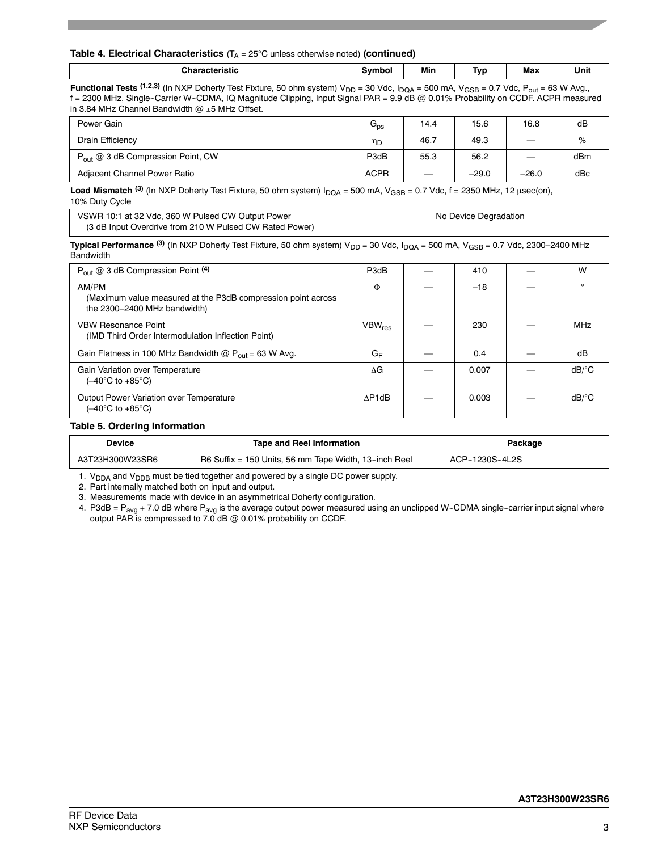#### **Table 4. Electrical Characteristics**  $(T_A = 25^{\circ}C$  unless otherwise noted) (continued)

| ъ. | - - -<br>Min. | $\overline{\phantom{a}}$<br>Tvr | $- -$<br>max | Unit |
|----|---------------|---------------------------------|--------------|------|
|    |               |                                 |              |      |

**Functional Tests** (1,2,3) (In NXP Doherty Test Fixture, 50 ohm system)  $V_{DD}$  = 30 Vdc,  $I_{DQA}$  = 500 mA,  $V_{GSB}$  = 0.7 Vdc,  $P_{out}$  = 63 W Avg., f = 2300 MHz, Single--Carrier W--CDMA, IQ Magnitude Clipping, Input Signal PAR = 9.9 dB @ 0.01% Probability on CCDF. ACPR measured in 3.84 MHz Channel Bandwidth  $@$  ±5 MHz Offset.

| Power Gain                                    | $G_{\text{ps}}$ | 14.4                     | 15.6    | 16.8                           | dB  |
|-----------------------------------------------|-----------------|--------------------------|---------|--------------------------------|-----|
| Drain Efficiency                              | ηD              | 46.7                     | 49.3    | $\longrightarrow$              | %   |
| $P_{\text{out}} @ 3$ dB Compression Point, CW | P3dB            | 55.3                     | 56.2    | $\qquad \qquad \longleftarrow$ | dBm |
| Adjacent Channel Power Ratio                  | <b>ACPR</b>     | $\overline{\phantom{m}}$ | $-29.0$ | $-26.0$                        | dBc |

**Load Mismatch** <sup>(3)</sup> (In NXP Doherty Test Fixture, 50 ohm system)  $I_{\text{DQA}}$  = 500 mA,  $V_{\text{GSB}}$  = 0.7 Vdc, f = 2350 MHz, 12 usec(on), 10% Duty Cycle

| VSWR 10:1 at 32 Vdc. 360 W Pulsed CW Output Power       | No Device Degradation |
|---------------------------------------------------------|-----------------------|
| (3 dB Input Overdrive from 210 W Pulsed CW Rated Power) |                       |

**Typical Performance** <sup>(3)</sup> (In NXP Doherty Test Fixture, 50 ohm system) V<sub>DD</sub> = 30 Vdc, I<sub>DQA</sub> = 500 mA, V<sub>GSB</sub> = 0.7 Vdc, 2300–2400 MHz Bandwidth

| $P_{\text{out}} @ 3 dB$ Compression Point (4)                                                         | P3dB                      | 410   | W                     |
|-------------------------------------------------------------------------------------------------------|---------------------------|-------|-----------------------|
| AM/PM<br>(Maximum value measured at the P3dB compression point across<br>the 2300-2400 MHz bandwidth) | Φ                         | $-18$ | $\circ$               |
| <b>VBW Resonance Point</b><br>(IMD Third Order Intermodulation Inflection Point)                      | <b>VBW</b> <sub>res</sub> | 230   | <b>MHz</b>            |
| Gain Flatness in 100 MHz Bandwidth @ $P_{out}$ = 63 W Avg.                                            | $G_F$                     | 0.4   | dB                    |
| Gain Variation over Temperature<br>(–40°C to +85°C)                                                   | AG                        | 0.007 | $dB$ <sup>o</sup> $C$ |
| Output Power Variation over Temperature<br>$(-40^{\circ}$ C to $+85^{\circ}$ C)                       | AP <sub>1dB</sub>         | 0.003 | $dB$ <sup>o</sup> $C$ |

# **Table 5. Ordering Information**

| Device          | <b>Tape and Reel Information</b>                      | Package        |
|-----------------|-------------------------------------------------------|----------------|
| A3T23H300W23SR6 | R6 Suffix = 150 Units, 56 mm Tape Width, 13-inch Reel | ACP-1230S-4L2S |

1. V<sub>DDA</sub> and V<sub>DDB</sub> must be tied together and powered by a single DC power supply.

2. Part internally matched both on input and output.

3. Measurements made with device in an asymmetrical Doherty configuration.

4. P3dB =  $P_{avg}$  + 7.0 dB where  $P_{avg}$  is the average output power measured using an unclipped W-CDMA single-carrier input signal where output PAR is compressed to 7.0 dB @ 0.01% probability on CCDF.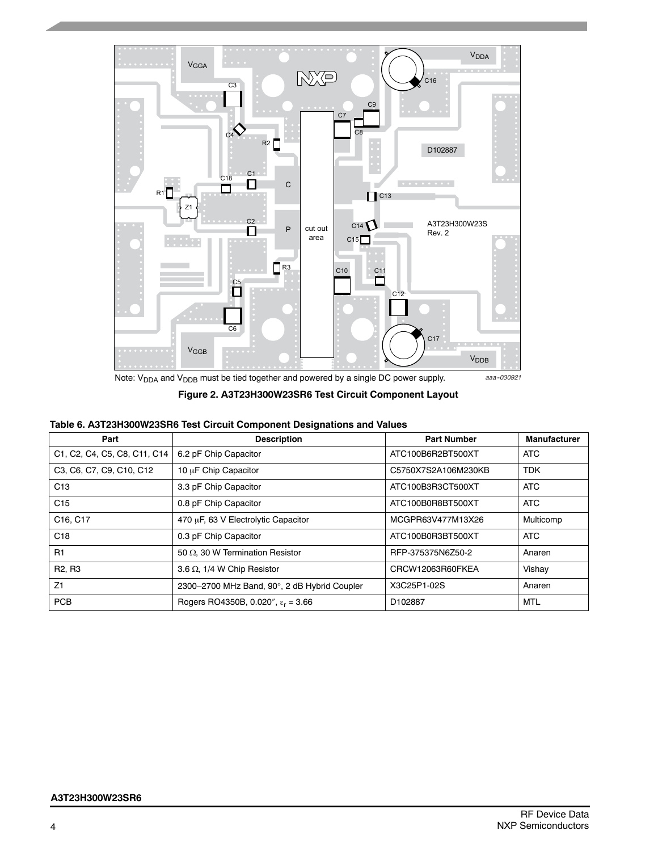

Note: V<sub>DDA</sub> and V<sub>DDB</sub> must be tied together and powered by a single DC power supply.

**Figure 2. A3T23H300W23SR6 Test Circuit Component Layout**

| Table 6. A3T23H300W23SR6 Test Circuit Component Designations and Values |  |  |
|-------------------------------------------------------------------------|--|--|
|                                                                         |  |  |

| Part                            | <b>Description</b>                           | <b>Part Number</b>  | <b>Manufacturer</b> |
|---------------------------------|----------------------------------------------|---------------------|---------------------|
| C1, C2, C4, C5, C8, C11, C14    | 6.2 pF Chip Capacitor                        | ATC100B6R2BT500XT   | <b>ATC</b>          |
| C3, C6, C7, C9, C10, C12        | 10 µF Chip Capacitor                         | C5750X7S2A106M230KB | <b>TDK</b>          |
| C13                             | 3.3 pF Chip Capacitor                        | ATC100B3R3CT500XT   | <b>ATC</b>          |
| C <sub>15</sub>                 | 0.8 pF Chip Capacitor                        | ATC100B0R8BT500XT   | <b>ATC</b>          |
| C16, C17                        | 470 µF, 63 V Electrolytic Capacitor          | MCGPR63V477M13X26   | Multicomp           |
| C <sub>18</sub>                 | 0.3 pF Chip Capacitor                        | ATC100B0R3BT500XT   | <b>ATC</b>          |
| R1                              | 50 $\Omega$ , 30 W Termination Resistor      | RFP-375375N6Z50-2   | Anaren              |
| R <sub>2</sub> . R <sub>3</sub> | 3.6 $\Omega$ , 1/4 W Chip Resistor           | CRCW12063R60FKEA    | Vishay              |
| Z1                              | 2300-2700 MHz Band, 90°, 2 dB Hybrid Coupler | X3C25P1-02S         | Anaren              |
| <b>PCB</b>                      | Rogers RO4350B, 0.020", $\epsilon_r = 3.66$  | D102887             | MTL                 |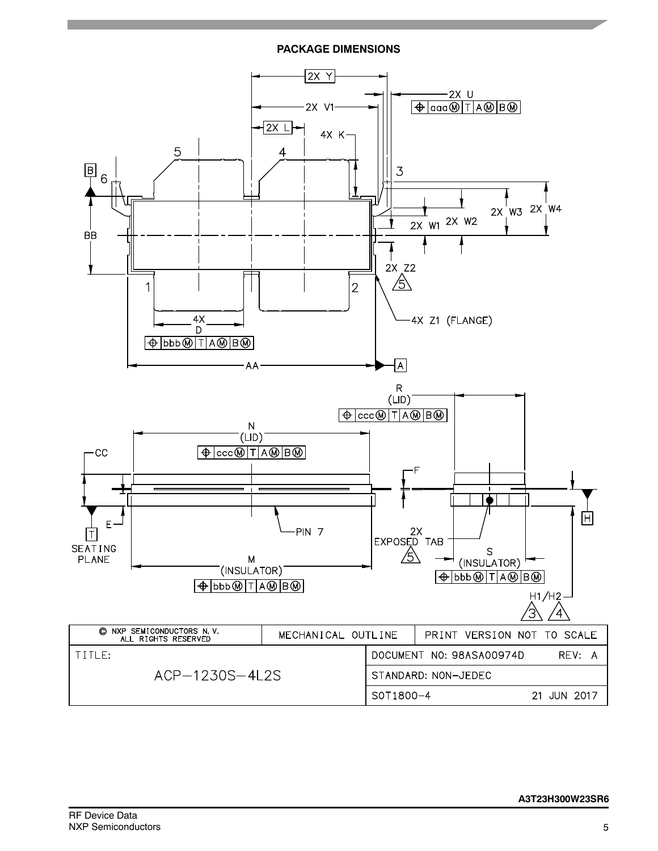# **PACKAGE DIMENSIONS**

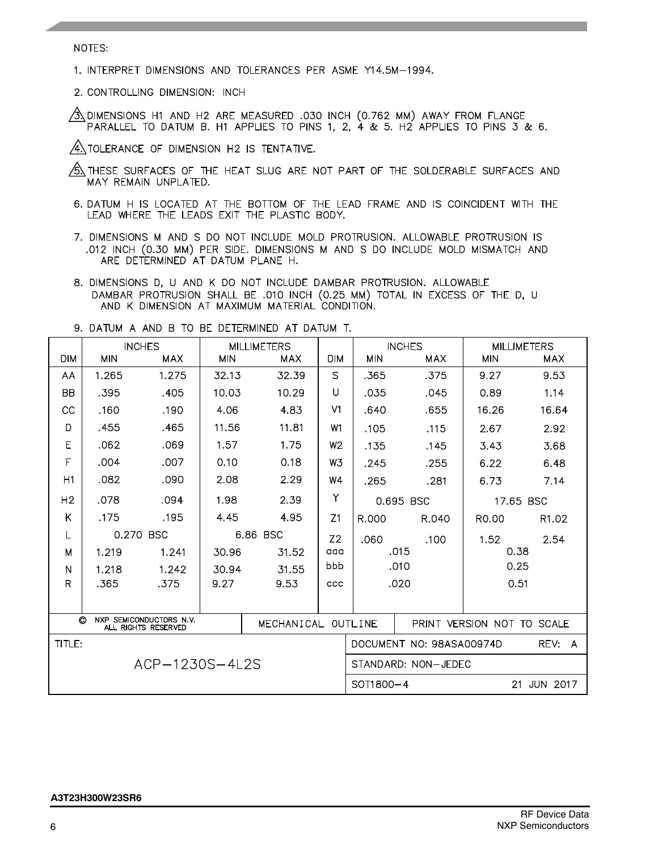NOTES:

- 1. INTERPRET DIMENSIONS AND TOLERANCES PER ASME Y14.5M-1994.
- 2. CONTROLLING DIMENSION: INCH

 $\beta$  dimensions h1 and h2 are measured .030 inch (0.762 mm) away from flange PARALLEL TO DATUM B. H1 APPLIES TO PINS 1, 2, 4 & 5. H2 APPLIES TO PINS 3 & 6.

 $\sqrt{4}$  TOLERANCE OF DIMENSION H2 IS TENTATIVE.

- /S, THESE SURFACES OF THE HEAT SLUG ARE NOT PART OF THE SOLDERABLE SURFACES AND MAY REMAIN UNPLATED.
- 6. DATUM H IS LOCATED AT THE BOTTOM OF THE LEAD FRAME AND IS COINCIDENT WITH THE LEADS EXIT THE PLASTIC BODY.
- 7. DIMENSIONS M AND S DO NOT INCLUDE MOLD PROTRUSION. ALLOWABLE PROTRUSION IS .012 INCH (0.30 MM) PER SIDE. DIMENSIONS M AND S DO INCLUDE MOLD MISMATCH AND ARE DETERMINED AT DATUM PLANE H.
- 8. DIMENSIONS D, U AND K DO NOT INCLUDE DAMBAR PROTRUSION. ALLOWABLE DAMBAR PROTRUSION SHALL BE .010 INCH (0.25 MM) TOTAL IN EXCESS OF THE D, U AND K DIMENSION AT MAXIMUM MATERIAL CONDITION.

|                                                     | <b>INCHES</b> |            | <b>MILLIMETERS</b> |                    |                | <b>INCHES</b>       |                                       | <b>MILLIMETERS</b> |                   |  |
|-----------------------------------------------------|---------------|------------|--------------------|--------------------|----------------|---------------------|---------------------------------------|--------------------|-------------------|--|
| <b>DIM</b>                                          | <b>MIN</b>    | <b>MAX</b> | <b>MIN</b>         | <b>MAX</b>         | <b>DIM</b>     | <b>MIN</b>          | <b>MAX</b>                            | <b>MIN</b>         | <b>MAX</b>        |  |
| AA                                                  | 1.265         | 1.275      | 32.13              | 32.39              | $\mathsf{S}$   | .365                | .375                                  | 9.27               | 9.53              |  |
| <b>BB</b>                                           | .395          | .405       | 10.03              | 10.29              | $\mathbf{U}$   | .035                | .045                                  | 0.89               | 1.14              |  |
| CС                                                  | .160          | .190       | 4.06               | 4.83               | V <sub>1</sub> | .640                | .655                                  | 16.26              | 16.64             |  |
| D                                                   | .455          | .465       | 11.56              | 11.81              | W <sub>1</sub> | .105                | .115                                  | 2.67               | 2.92              |  |
| Ε                                                   | .062          | .069       | 1.57               | 1.75               | W <sub>2</sub> | .135                | .145                                  | 3.43               | 3.68              |  |
| F                                                   | .004          | .007       | 0.10               | 0.18               | W <sub>3</sub> | .245                | .255                                  | 6.22               | 6.48              |  |
| H1                                                  | .082          | .090       | 2.08               | 2.29               | W4             | .265                | .281                                  | 6.73               | 7.14              |  |
| H <sub>2</sub>                                      | .078          | .094       | 1.98               | 2.39               | Y              | 0.695 BSC           |                                       | 17.65 BSC          |                   |  |
| K                                                   | .175          | .195       | 4.45               | 4.95               | Z1             | R.000               | R.040                                 | R <sub>0</sub> .00 | R <sub>1.02</sub> |  |
|                                                     | 0.270 BSC     |            | 6.86 BSC           |                    | Z <sub>2</sub> | .060                | .100                                  | 1.52               | 2.54              |  |
| M                                                   | 1.219         | 1.241      | 30.96              | 31.52              | aaa            | .015                |                                       |                    | 0.38              |  |
| N                                                   | 1.218         | 1.242      | 30.94              | 31.55              | bbb            | .010                |                                       |                    | 0.25              |  |
| R.                                                  | .365          | .375       | 9.27               | 9.53               | ccc            | .020                |                                       | 0.51               |                   |  |
|                                                     |               |            |                    |                    |                |                     |                                       |                    |                   |  |
| NXP SEMICONDUCTORS N.V.<br>O<br>ALL RIGHTS RESERVED |               |            |                    | MECHANICAL OUTLINE |                |                     | PRINT VERSION NOT TO SCALE            |                    |                   |  |
| TITLE:                                              |               |            |                    |                    |                |                     | DOCUMENT NO: 98ASA00974D<br>REV:<br>A |                    |                   |  |
| ACP-1230S-4L2S                                      |               |            |                    |                    |                | STANDARD: NON-JEDEC |                                       |                    |                   |  |
|                                                     |               |            |                    |                    |                |                     | SOT1800-4<br>21 JUN 2017              |                    |                   |  |

9. DATUM A AND B TO BE DETERMINED AT DATUM T.

# **A3T23H300W23SR6**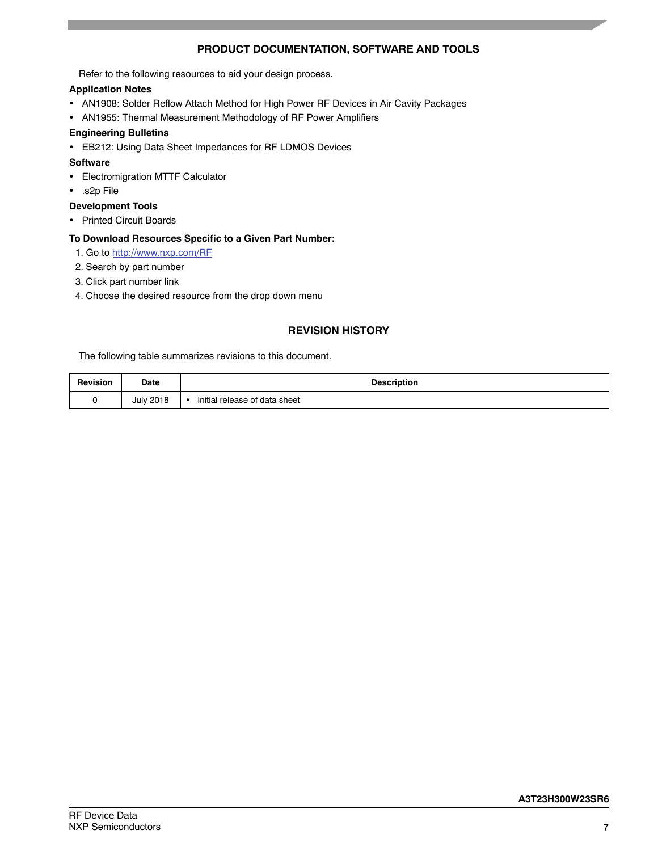# **PRODUCT DOCUMENTATION, SOFTWARE AND TOOLS**

Refer to the following resources to aid your design process.

# **Application Notes**

- AN1908: Solder Reflow Attach Method for High Power RF Devices in Air Cavity Packages
- AN1955: Thermal Measurement Methodology of RF Power Amplifiers

# **Engineering Bulletins**

EB212: Using Data Sheet Impedances for RF LDMOS Devices

# **Software**

- Electromigration MTTF Calculator
- .s2p File

# **Development Tools**

• Printed Circuit Boards

# **To Download Resources Specific to a Given Part Number:**

- 1. Go to http://www.nxp.com/RF
- 2. Search by part number
- 3. Click part number link
- 4. Choose the desired resource from the drop down menu

# **REVISION HISTORY**

The following table summarizes revisions to this document.

| <b>Revision</b> | Date             | <b>Description</b>            |
|-----------------|------------------|-------------------------------|
|                 | <b>July 2018</b> | Initial release of data sheet |